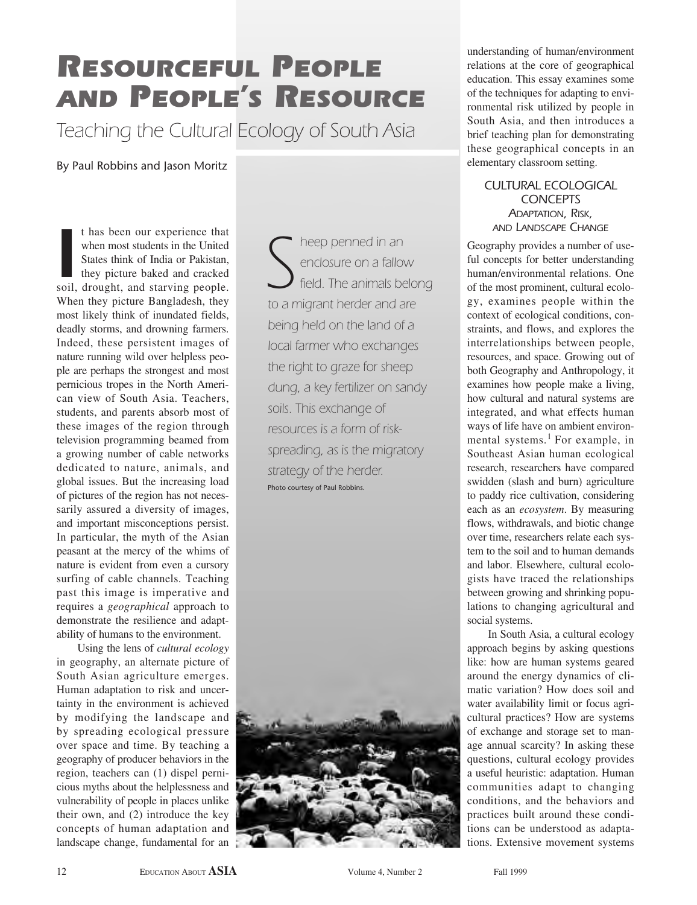# *RESOURCEFUL PEOPLE AND PEOPLE'S RESOURCE*

*Teaching the Cultural Ecology of South Asia*

By Paul Robbins and Jason Moritz

I has been our experience that<br>
when most students in the United<br>
States think of India or Pakistan,<br>
they picture baked and cracked<br>
soil, drought, and starving people. t has been our experience that when most students in the United States think of India or Pakistan, they picture baked and cracked When they picture Bangladesh, they most likely think of inundated fields, deadly storms, and drowning farmers. Indeed, these persistent images of nature running wild over helpless people are perhaps the strongest and most pernicious tropes in the North American view of South Asia. Teachers, students, and parents absorb most of these images of the region through television programming beamed from a growing number of cable networks dedicated to nature, animals, and global issues. But the increasing load of pictures of the region has not necessarily assured a diversity of images, and important misconceptions persist. In particular, the myth of the Asian peasant at the mercy of the whims of nature is evident from even a cursory surfing of cable channels. Teaching past this image is imperative and requires a *geographical* approach to demonstrate the resilience and adaptability of humans to the environment.

Using the lens of *cultural ecology* in geography, an alternate picture of South Asian agriculture emerges. Human adaptation to risk and uncertainty in the environment is achieved by modifying the landscape and by spreading ecological pressure over space and time. By teaching a geography of producer behaviors in the region, teachers can (1) dispel pernicious myths about the helplessness and vulnerability of people in places unlike their own, and (2) introduce the key concepts of human adaptation and landscape change, fundamental for an

*S heep penned in an enclosure on a fallow field. The animals belong to a migrant herder and are being held on the land of a local farmer who exchanges the right to graze for sheep dung, a key fertilizer on sandy soils. This exchange of resources is a form of riskspreading, as is the migratory strategy of the herder.* Photo courtesy of Paul Robbins.



understanding of human/environment relations at the core of geographical education. This essay examines some of the techniques for adapting to environmental risk utilized by people in South Asia, and then introduces a brief teaching plan for demonstrating these geographical concepts in an elementary classroom setting.

*CULTURAL ECOLOGICAL CONCEPTS ADAPTATION, RISK, AND LANDSCAPE CHANGE*

Geography provides a number of useful concepts for better understanding human/environmental relations. One of the most prominent, cultural ecology, examines people within the context of ecological conditions, constraints, and flows, and explores the interrelationships between people, resources, and space. Growing out of both Geography and Anthropology, it examines how people make a living, how cultural and natural systems are integrated, and what effects human ways of life have on ambient environmental systems.<sup>1</sup> For example, in Southeast Asian human ecological research, researchers have compared swidden (slash and burn) agriculture to paddy rice cultivation, considering each as an *ecosystem*. By measuring flows, withdrawals, and biotic change over time, researchers relate each system to the soil and to human demands and labor. Elsewhere, cultural ecologists have traced the relationships between growing and shrinking populations to changing agricultural and social systems.

In South Asia, a cultural ecology approach begins by asking questions like: how are human systems geared around the energy dynamics of climatic variation? How does soil and water availability limit or focus agricultural practices? How are systems of exchange and storage set to manage annual scarcity? In asking these questions, cultural ecology provides a useful heuristic: adaptation. Human communities adapt to changing conditions, and the behaviors and practices built around these conditions can be understood as adaptations. Extensive movement systems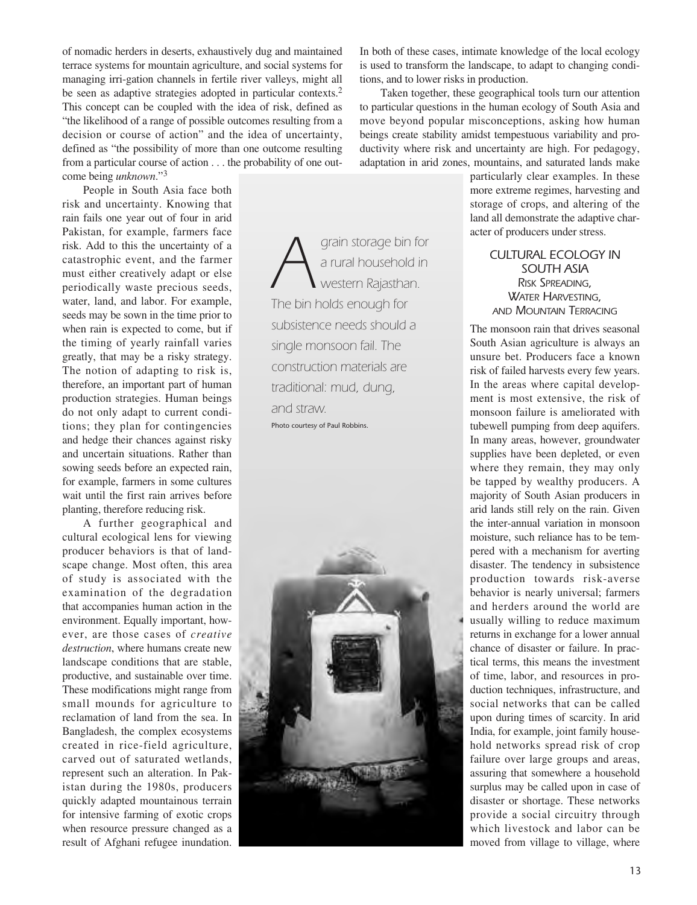of nomadic herders in deserts, exhaustively dug and maintained terrace systems for mountain agriculture, and social systems for managing irri-gation channels in fertile river valleys, might all be seen as adaptive strategies adopted in particular contexts.<sup>2</sup> This concept can be coupled with the idea of risk, defined as "the likelihood of a range of possible outcomes resulting from a decision or course of action" and the idea of uncertainty, defined as "the possibility of more than one outcome resulting from a particular course of action . . . the probability of one outcome being *unknown*."<sup>3</sup>

People in South Asia face both risk and uncertainty. Knowing that rain fails one year out of four in arid Pakistan, for example, farmers face risk. Add to this the uncertainty of a catastrophic event, and the farmer must either creatively adapt or else periodically waste precious seeds, water, land, and labor. For example, seeds may be sown in the time prior to when rain is expected to come, but if the timing of yearly rainfall varies greatly, that may be a risky strategy. The notion of adapting to risk is, therefore, an important part of human production strategies. Human beings do not only adapt to current conditions; they plan for contingencies and hedge their chances against risky and uncertain situations. Rather than sowing seeds before an expected rain, for example, farmers in some cultures wait until the first rain arrives before planting, therefore reducing risk.

A further geographical and cultural ecological lens for viewing producer behaviors is that of landscape change. Most often, this area of study is associated with the examination of the degradation that accompanies human action in the environment. Equally important, however, are those cases of *creative destruction*, where humans create new landscape conditions that are stable, productive, and sustainable over time. These modifications might range from small mounds for agriculture to reclamation of land from the sea. In Bangladesh, the complex ecosystems created in rice-field agriculture, carved out of saturated wetlands, represent such an alteration. In Pakistan during the 1980s, producers quickly adapted mountainous terrain for intensive farming of exotic crops when resource pressure changed as a result of Afghani refugee inundation.

*A grain storage bin for*<br>*a rural household in*<br>The bin holds enough for *a rural household in western Rajasthan. The bin holds enough for subsistence needs should a single monsoon fail. The construction materials are traditional: mud, dung, and straw.* Photo courtesy of Paul Robbins.



In both of these cases, intimate knowledge of the local ecology is used to transform the landscape, to adapt to changing conditions, and to lower risks in production.

Taken together, these geographical tools turn our attention to particular questions in the human ecology of South Asia and move beyond popular misconceptions, asking how human beings create stability amidst tempestuous variability and productivity where risk and uncertainty are high. For pedagogy, adaptation in arid zones, mountains, and saturated lands make

particularly clear examples. In these more extreme regimes, harvesting and storage of crops, and altering of the land all demonstrate the adaptive character of producers under stress.

# *CULTURAL ECOLOGY IN SOUTH ASIA RISK SPREADING, WATER HARVESTING, AND MOUNTAIN TERRACING*

The monsoon rain that drives seasonal South Asian agriculture is always an unsure bet. Producers face a known risk of failed harvests every few years. In the areas where capital development is most extensive, the risk of monsoon failure is ameliorated with tubewell pumping from deep aquifers. In many areas, however, groundwater supplies have been depleted, or even where they remain, they may only be tapped by wealthy producers. A majority of South Asian producers in arid lands still rely on the rain. Given the inter-annual variation in monsoon moisture, such reliance has to be tempered with a mechanism for averting disaster. The tendency in subsistence production towards risk-averse behavior is nearly universal; farmers and herders around the world are usually willing to reduce maximum returns in exchange for a lower annual chance of disaster or failure. In practical terms, this means the investment of time, labor, and resources in production techniques, infrastructure, and social networks that can be called upon during times of scarcity. In arid India, for example, joint family household networks spread risk of crop failure over large groups and areas, assuring that somewhere a household surplus may be called upon in case of disaster or shortage. These networks provide a social circuitry through which livestock and labor can be moved from village to village, where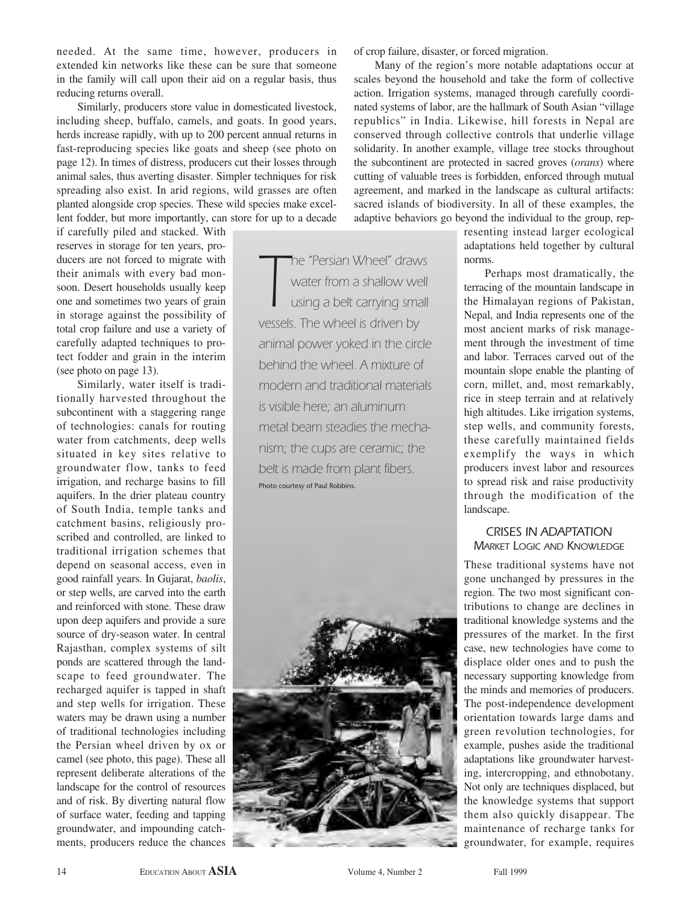needed. At the same time, however, producers in extended kin networks like these can be sure that someone in the family will call upon their aid on a regular basis, thus reducing returns overall.

Similarly, producers store value in domesticated livestock, including sheep, buffalo, camels, and goats. In good years, herds increase rapidly, with up to 200 percent annual returns in fast-reproducing species like goats and sheep (see photo on page 12). In times of distress, producers cut their losses through animal sales, thus averting disaster. Simpler techniques for risk spreading also exist. In arid regions, wild grasses are often planted alongside crop species. These wild species make excellent fodder, but more importantly, can store for up to a decade

if carefully piled and stacked. With reserves in storage for ten years, producers are not forced to migrate with their animals with every bad monsoon. Desert households usually keep one and sometimes two years of grain in storage against the possibility of total crop failure and use a variety of carefully adapted techniques to protect fodder and grain in the interim (see photo on page 13).

Similarly, water itself is traditionally harvested throughout the subcontinent with a staggering range of technologies: canals for routing water from catchments, deep wells situated in key sites relative to groundwater flow, tanks to feed irrigation, and recharge basins to fill aquifers. In the drier plateau country of South India, temple tanks and catchment basins, religiously proscribed and controlled, are linked to traditional irrigation schemes that depend on seasonal access, even in good rainfall years. In Gujarat, *baolis*, or step wells, are carved into the earth and reinforced with stone. These draw upon deep aquifers and provide a sure source of dry-season water. In central Rajasthan, complex systems of silt ponds are scattered through the landscape to feed groundwater. The recharged aquifer is tapped in shaft and step wells for irrigation. These waters may be drawn using a number of traditional technologies including the Persian wheel driven by ox or camel (see photo, this page). These all represent deliberate alterations of the landscape for the control of resources and of risk. By diverting natural flow of surface water, feeding and tapping groundwater, and impounding catchments, producers reduce the chances

**The "Persian Wheel" draw<br>
water from a shallow we<br>
using a belt carrying sma<br>
vessels. The wheel is driven by** *he "Persian Wheel" draws water from a shallow well using a belt carrying small animal power yoked in the circle behind the wheel. A mixture of modern and traditional materials is visible here; an aluminum metal beam steadies the mechanism; the cups are ceramic; the belt is made from plant fibers.* Photo courtesy of Paul Robbins.



of crop failure, disaster, or forced migration.

Many of the region's more notable adaptations occur at scales beyond the household and take the form of collective action. Irrigation systems, managed through carefully coordinated systems of labor, are the hallmark of South Asian "village republics" in India. Likewise, hill forests in Nepal are conserved through collective controls that underlie village solidarity. In another example, village tree stocks throughout the subcontinent are protected in sacred groves (*orans*) where cutting of valuable trees is forbidden, enforced through mutual agreement, and marked in the landscape as cultural artifacts: sacred islands of biodiversity. In all of these examples, the adaptive behaviors go beyond the individual to the group, rep-

resenting instead larger ecological adaptations held together by cultural norms.

Perhaps most dramatically, the terracing of the mountain landscape in the Himalayan regions of Pakistan, Nepal, and India represents one of the most ancient marks of risk management through the investment of time and labor. Terraces carved out of the mountain slope enable the planting of corn, millet, and, most remarkably, rice in steep terrain and at relatively high altitudes. Like irrigation systems, step wells, and community forests, these carefully maintained fields exemplify the ways in which producers invest labor and resources to spread risk and raise productivity through the modification of the landscape.

## *CRISES IN ADAPTATION MARKET LOGIC AND KNOWLEDGE*

These traditional systems have not gone unchanged by pressures in the region. The two most significant contributions to change are declines in traditional knowledge systems and the pressures of the market. In the first case, new technologies have come to displace older ones and to push the necessary supporting knowledge from the minds and memories of producers. The post-independence development orientation towards large dams and green revolution technologies, for example, pushes aside the traditional adaptations like groundwater harvesting, intercropping, and ethnobotany. Not only are techniques displaced, but the knowledge systems that support them also quickly disappear. The maintenance of recharge tanks for groundwater, for example, requires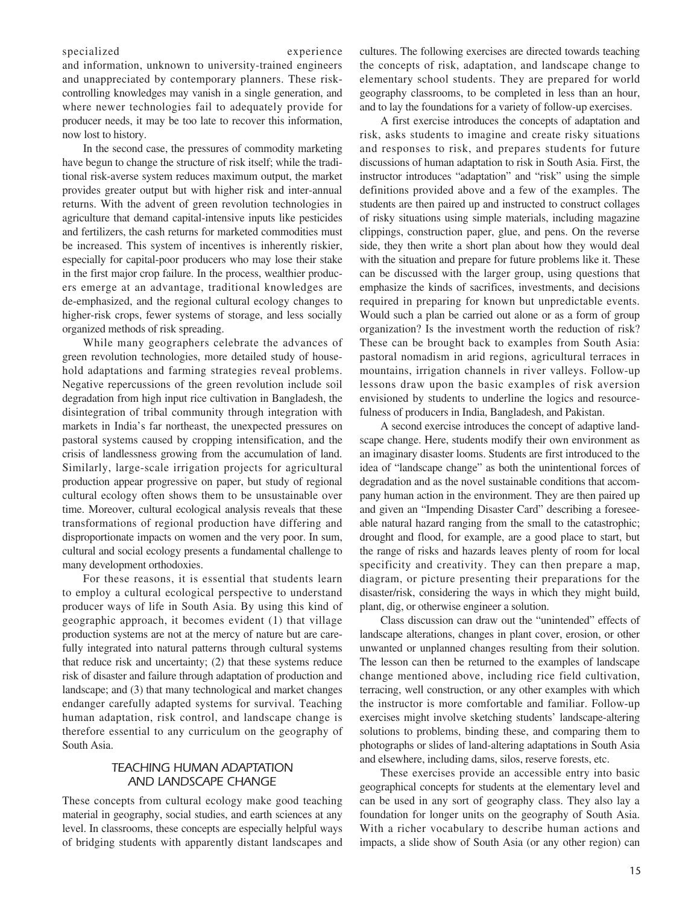specialized experience

and information, unknown to university-trained engineers and unappreciated by contemporary planners. These riskcontrolling knowledges may vanish in a single generation, and where newer technologies fail to adequately provide for producer needs, it may be too late to recover this information, now lost to history.

In the second case, the pressures of commodity marketing have begun to change the structure of risk itself; while the traditional risk-averse system reduces maximum output, the market provides greater output but with higher risk and inter-annual returns. With the advent of green revolution technologies in agriculture that demand capital-intensive inputs like pesticides and fertilizers, the cash returns for marketed commodities must be increased. This system of incentives is inherently riskier, especially for capital-poor producers who may lose their stake in the first major crop failure. In the process, wealthier producers emerge at an advantage, traditional knowledges are de-emphasized, and the regional cultural ecology changes to higher-risk crops, fewer systems of storage, and less socially organized methods of risk spreading.

While many geographers celebrate the advances of green revolution technologies, more detailed study of household adaptations and farming strategies reveal problems. Negative repercussions of the green revolution include soil degradation from high input rice cultivation in Bangladesh, the disintegration of tribal community through integration with markets in India's far northeast, the unexpected pressures on pastoral systems caused by cropping intensification, and the crisis of landlessness growing from the accumulation of land. Similarly, large-scale irrigation projects for agricultural production appear progressive on paper, but study of regional cultural ecology often shows them to be unsustainable over time. Moreover, cultural ecological analysis reveals that these transformations of regional production have differing and disproportionate impacts on women and the very poor. In sum, cultural and social ecology presents a fundamental challenge to many development orthodoxies.

For these reasons, it is essential that students learn to employ a cultural ecological perspective to understand producer ways of life in South Asia. By using this kind of geographic approach, it becomes evident (1) that village production systems are not at the mercy of nature but are carefully integrated into natural patterns through cultural systems that reduce risk and uncertainty; (2) that these systems reduce risk of disaster and failure through adaptation of production and landscape; and (3) that many technological and market changes endanger carefully adapted systems for survival. Teaching human adaptation, risk control, and landscape change is therefore essential to any curriculum on the geography of South Asia.

## *TEACHING HUMAN ADAPTATION AND LANDSCAPE CHANGE*

These concepts from cultural ecology make good teaching material in geography, social studies, and earth sciences at any level. In classrooms, these concepts are especially helpful ways of bridging students with apparently distant landscapes and cultures. The following exercises are directed towards teaching the concepts of risk, adaptation, and landscape change to elementary school students. They are prepared for world geography classrooms, to be completed in less than an hour, and to lay the foundations for a variety of follow-up exercises.

A first exercise introduces the concepts of adaptation and risk, asks students to imagine and create risky situations and responses to risk, and prepares students for future discussions of human adaptation to risk in South Asia. First, the instructor introduces "adaptation" and "risk" using the simple definitions provided above and a few of the examples. The students are then paired up and instructed to construct collages of risky situations using simple materials, including magazine clippings, construction paper, glue, and pens. On the reverse side, they then write a short plan about how they would deal with the situation and prepare for future problems like it. These can be discussed with the larger group, using questions that emphasize the kinds of sacrifices, investments, and decisions required in preparing for known but unpredictable events. Would such a plan be carried out alone or as a form of group organization? Is the investment worth the reduction of risk? These can be brought back to examples from South Asia: pastoral nomadism in arid regions, agricultural terraces in mountains, irrigation channels in river valleys. Follow-up lessons draw upon the basic examples of risk aversion envisioned by students to underline the logics and resourcefulness of producers in India, Bangladesh, and Pakistan.

A second exercise introduces the concept of adaptive landscape change. Here, students modify their own environment as an imaginary disaster looms. Students are first introduced to the idea of "landscape change" as both the unintentional forces of degradation and as the novel sustainable conditions that accompany human action in the environment. They are then paired up and given an "Impending Disaster Card" describing a foreseeable natural hazard ranging from the small to the catastrophic; drought and flood, for example, are a good place to start, but the range of risks and hazards leaves plenty of room for local specificity and creativity. They can then prepare a map, diagram, or picture presenting their preparations for the disaster/risk, considering the ways in which they might build, plant, dig, or otherwise engineer a solution.

Class discussion can draw out the "unintended" effects of landscape alterations, changes in plant cover, erosion, or other unwanted or unplanned changes resulting from their solution. The lesson can then be returned to the examples of landscape change mentioned above, including rice field cultivation, terracing, well construction, or any other examples with which the instructor is more comfortable and familiar. Follow-up exercises might involve sketching students' landscape-altering solutions to problems, binding these, and comparing them to photographs or slides of land-altering adaptations in South Asia and elsewhere, including dams, silos, reserve forests, etc.

These exercises provide an accessible entry into basic geographical concepts for students at the elementary level and can be used in any sort of geography class. They also lay a foundation for longer units on the geography of South Asia. With a richer vocabulary to describe human actions and impacts, a slide show of South Asia (or any other region) can